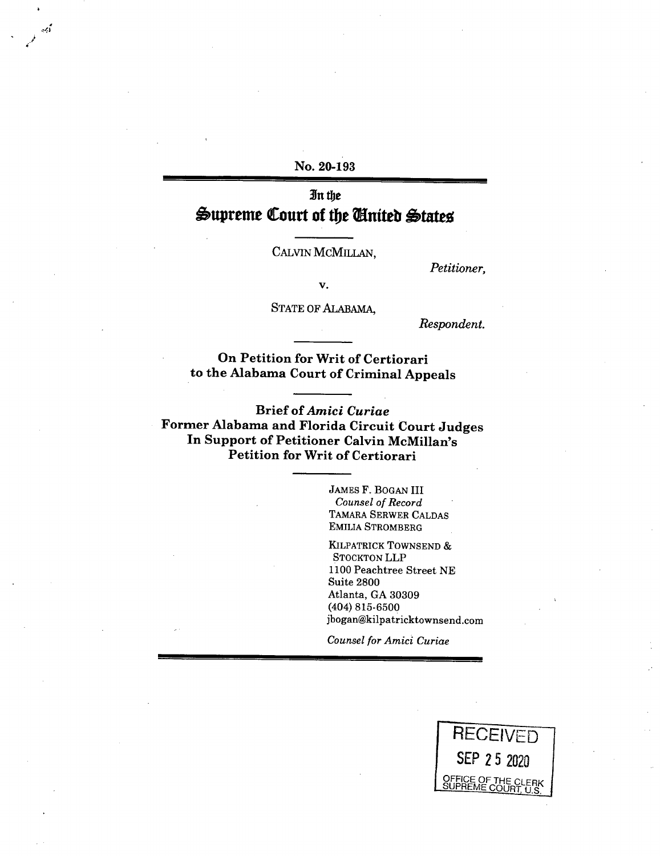**No. 20-193** 

أوبرد

# **3n the**   $\triangle$ upreme Court of the *United* States

CALVIN MCMILLAN,

*Petitioner,* 

v.

STATE OF ALABAMA,

*Respondent.* 

**On Petition for Writ of Certiorari to the Alabama Court of Criminal Appeals** 

**Brief of** *Amici Curiae*  **Former Alabama and Florida Circuit Court Judges In Support of Petitioner Calvin McMillan's Petition for Writ of Certiorari** 

> JAMES F. BOGAN III *Counsel of Record TAMARA* SERWER CALDAS EMILIA STROMBERG

KILPATRICK TOWNSEND & STOCKTON LLP 1100 Peachtree Street NE Suite 2800 Atlanta, GA 30309 (404) 815-6500 jbogan@kilpatricktownsend.com

*Counsel for Amici Curiae* 

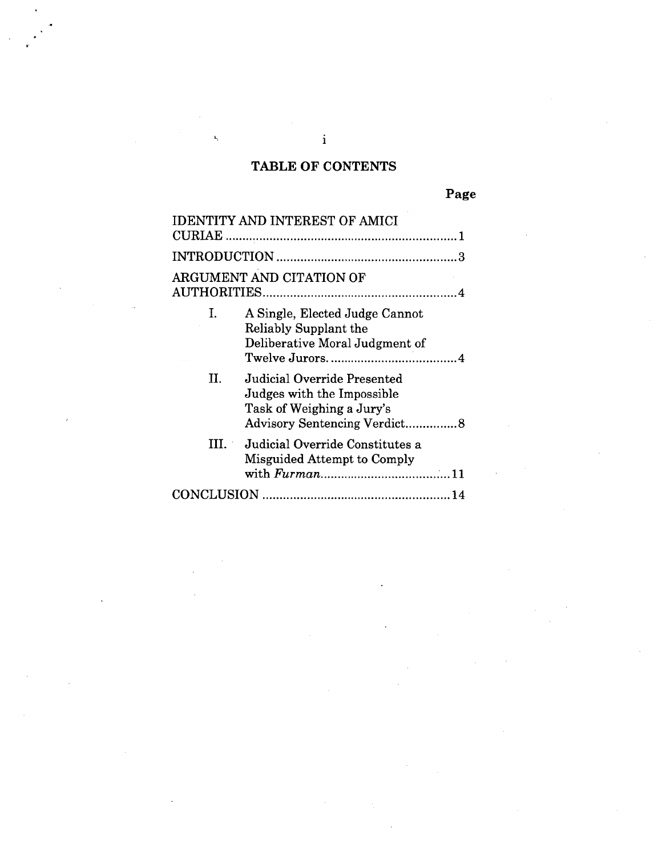# **TABLE OF CONTENTS**

| <b>IDENTITY AND INTEREST OF AMICI</b> |                                                                                                                        |
|---------------------------------------|------------------------------------------------------------------------------------------------------------------------|
|                                       |                                                                                                                        |
|                                       |                                                                                                                        |
| ARGUMENT AND CITATION OF              |                                                                                                                        |
| L.<br>Reliably Supplant the           | A Single, Elected Judge Cannot<br>Deliberative Moral Judgment of                                                       |
| П.                                    | Judicial Override Presented<br>Judges with the Impossible<br>Task of Weighing a Jury's<br>Advisory Sentencing Verdict8 |
| III. L                                | Judicial Override Constitutes a<br>Misguided Attempt to Comply                                                         |
|                                       |                                                                                                                        |

 $\mathbf{i}$ 

 $\overline{a}$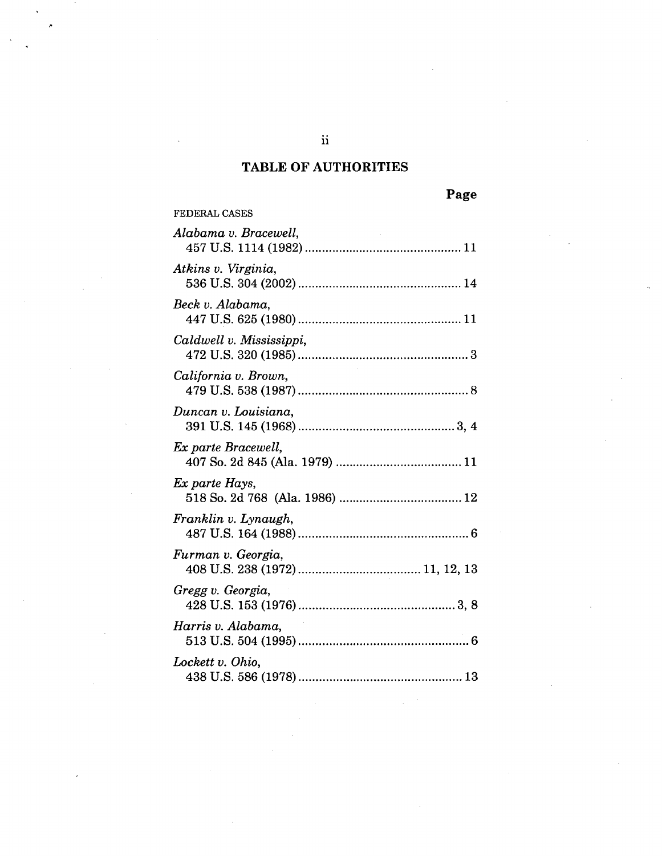# **TABLE OF AUTHORITIES**

| <b>FEDERAL CASES</b>     |
|--------------------------|
| Alabama v. Bracewell,    |
| Atkins v. Virginia,      |
| Beck v. Alabama,         |
| Caldwell v. Mississippi, |
| California v. Brown,     |
| Duncan v. Louisiana,     |
| Ex parte Bracewell,      |
| Ex parte Hays,           |
| Franklin v. Lynaugh,     |
| Furman v. Georgia,       |
| Gregg v. Georgia,        |
| Harris v. Alabama,       |
| Lockett v. Ohio,         |

 $\ddot{\mathbf{i}}$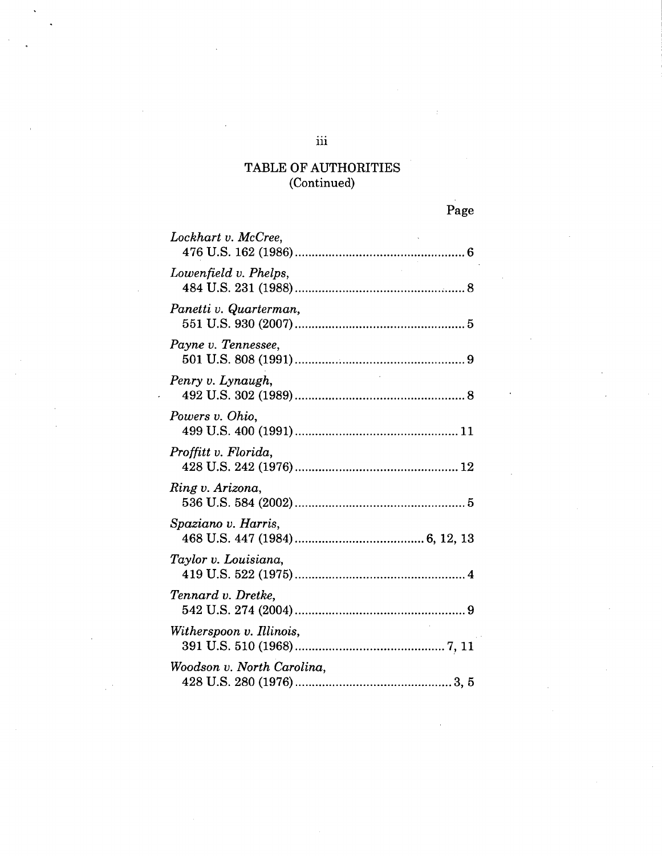| Lockhart v. McCree,        |
|----------------------------|
| Lowenfield v. Phelps,      |
| Panetti v. Quarterman,     |
| Payne v. Tennessee,        |
| Penry v. Lynaugh,          |
| Powers v. Ohio,            |
| Proffitt v. Florida,       |
| Ring v. Arizona,           |
| Spaziano v. Harris,        |
| Taylor v. Louisiana,       |
| Tennard v. Dretke,         |
| Witherspoon v. Illinois,   |
| Woodson v. North Carolina, |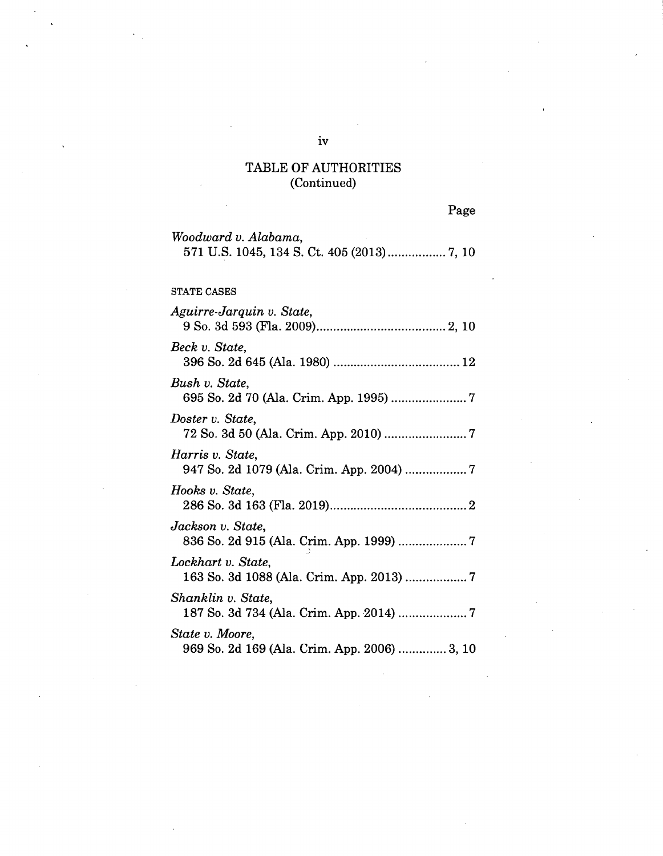Page

| Woodward v. Alabama,                                            |
|-----------------------------------------------------------------|
|                                                                 |
| <b>STATE CASES</b>                                              |
| Aguirre-Jarquin v. State,                                       |
| Beck v. State,                                                  |
| Bush v. State,                                                  |
| Doster v. State,                                                |
| Harris v. State,<br>947 So. 2d 1079 (Ala. Crim. App. 2004)  7   |
| Hooks v. State,                                                 |
| Jackson v. State,<br>836 So. 2d 915 (Ala. Crim. App. 1999) 7    |
| Lockhart v. State,<br>163 So. 3d 1088 (Ala. Crim. App. 2013)  7 |
| Shanklin v. State,                                              |
| State v. Moore,<br>969 So. 2d 169 (Ala. Crim. App. 2006)  3, 10 |

iv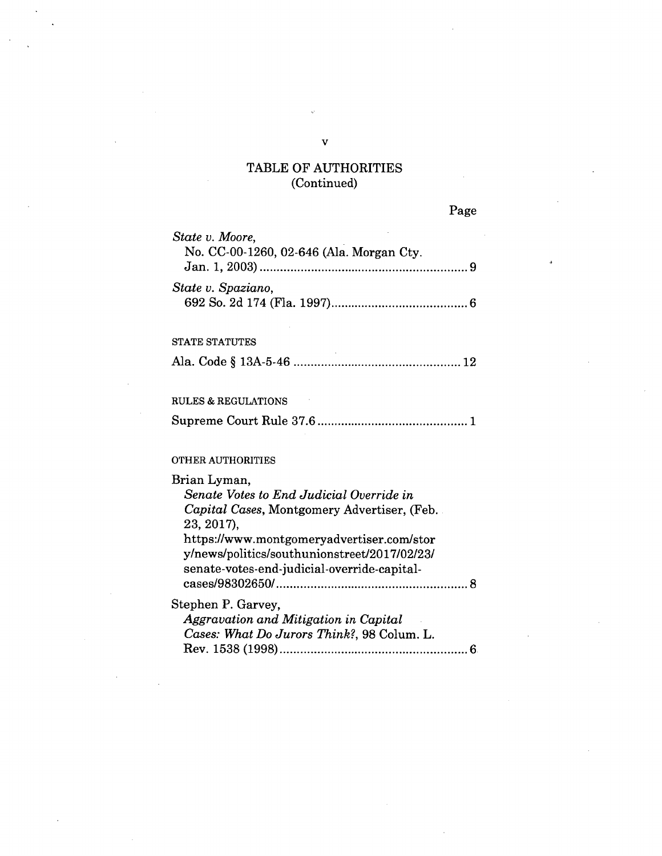| State v. Moore,<br>No. CC-00-1260, 02-646 (Ala. Morgan Cty. |
|-------------------------------------------------------------|
| State v. Spaziano,                                          |
| <b>STATE STATUTES</b>                                       |
|                                                             |
| RULES & REGULATIONS                                         |
|                                                             |
| OTHER AUTHORITIES                                           |
| Brian Lyman,                                                |
| Senate Votes to End Judicial Override in                    |
| Capital Cases, Montgomery Advertiser, (Feb.                 |
| 23, 2017),                                                  |
| https://www.montgomeryadvertiser.com/stor                   |

y/news/politics/southunionstreet/2017/02/23/ senate-votes-end-judicial-override-capital-

*Aggravation and Mitigation in Capital Cases: What Do Jurors Think?,* 98 Colum. L.

Stephen P. Garvey,

cases/98302650/ 8

Rev. 1538 (1998) 6

V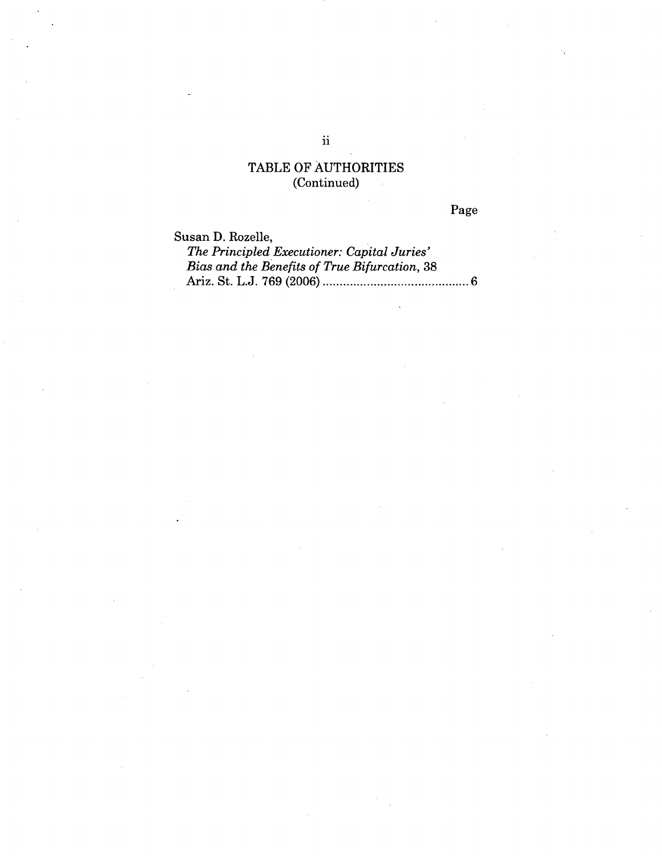Page

Susan D. Rozelle,

*The Principled Executioner: Capital Juries' Bias and the Benefits of True Bifurcation,* 38 Ariz. St. L.J. 769 (2006) 6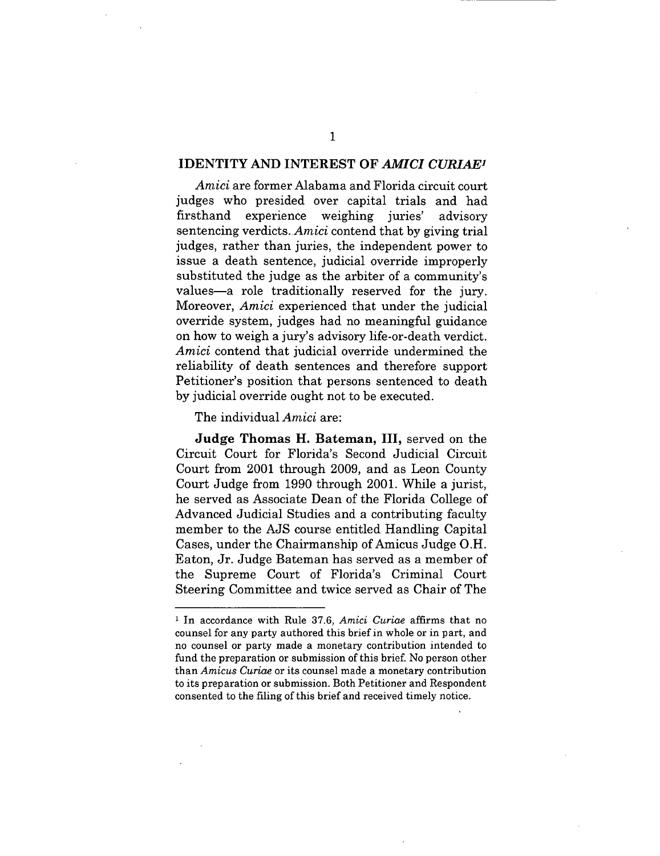#### **IDENTITY AND INTEREST OF** *AMICI CURIAE1*

*Amici* are former Alabama and Florida circuit court judges who presided over capital trials and had firsthand experience weighing juries' advisory sentencing verdicts. *Amici* contend that by giving trial judges, rather than juries, the independent power to issue a death sentence, judicial override improperly substituted the judge as the arbiter of a community's values—a role traditionally reserved for the jury. Moreover, *Amici* experienced that under the judicial override system, judges had no meaningful guidance on how to weigh a jury's advisory life-or-death verdict. *Amici* contend that judicial override undermined the reliability of death sentences and therefore support Petitioner's position that persons sentenced to death by judicial override ought not to be executed.

The individual *Amici* are:

**Judge Thomas H. Bateman, III,** served on the Circuit Court for Florida's Second Judicial Circuit Court from 2001 through 2009, and as Leon County Court Judge from 1990 through 2001. While a jurist, he served as Associate Dean of the Florida College of Advanced Judicial Studies and a contributing faculty member to the AJS course entitled Handling Capital Cases, under the Chairmanship of Amicus Judge **O.H.**  Eaton, Jr. Judge Bateman has served as a member of the Supreme Court of Florida's Criminal Court Steering Committee and twice served as Chair of The

<sup>&</sup>lt;sup>1</sup> In accordance with Rule 37.6, *Amici Curiae* affirms that no counsel for any party authored this brief in whole or in part, and no counsel or party made a monetary contribution intended to fund the preparation or submission of this brief. No person other than *Amicus Curiae* or its counsel made a monetary contribution to its preparation or submission. Both Petitioner and Respondent consented to the filing of this brief and received timely notice.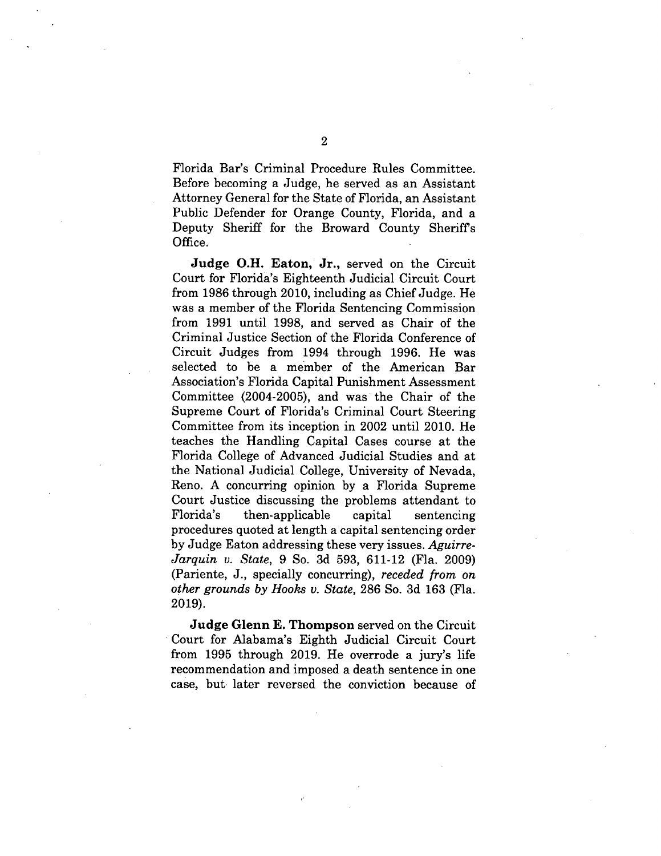Florida Bar's Criminal Procedure Rules Committee. Before becoming a Judge, he served as an Assistant Attorney General for the State of Florida, an Assistant Public Defender for Orange County, Florida, and a Deputy Sheriff for the Broward County Sheriffs Office.

**Judge O.H. Eaton, Jr.,** served on the Circuit Court for Florida's Eighteenth Judicial Circuit Court from 1986 through 2010, including as Chief Judge. He was a member of the Florida Sentencing Commission from 1991 until 1998, and served as Chair of the Criminal Justice Section of the Florida Conference of Circuit Judges from 1994 through 1996. He was selected to be a member of the American Bar Association's Florida Capital Punishment Assessment Committee (2004-2005), and was the Chair of the Supreme Court of Florida's Criminal Court Steering Committee from its inception in 2002 until 2010. He teaches the Handling Capital Cases course at the Florida College of Advanced Judicial Studies and at the National Judicial College, University of Nevada, Reno. A concurring opinion by a Florida Supreme Court Justice discussing the problems attendant to Florida's then-applicable capital sentencing procedures quoted at length a capital sentencing order by Judge Eaton addressing these very issues. *Aguirre-Jarquin v. State,* 9 So. 3d 593, 611-12 (Fla. 2009) (Pariente, J., specially concurring), *receded from on other grounds by Hooks v. State,* 286 So. 3d 163 (Fla. 2019).

**Judge Glenn E. Thompson** served on the Circuit Court for Alabama's Eighth Judicial Circuit Court from 1995 through 2019. He overrode a jury's life recommendation and imposed a death sentence in one case, but later reversed the conviction because of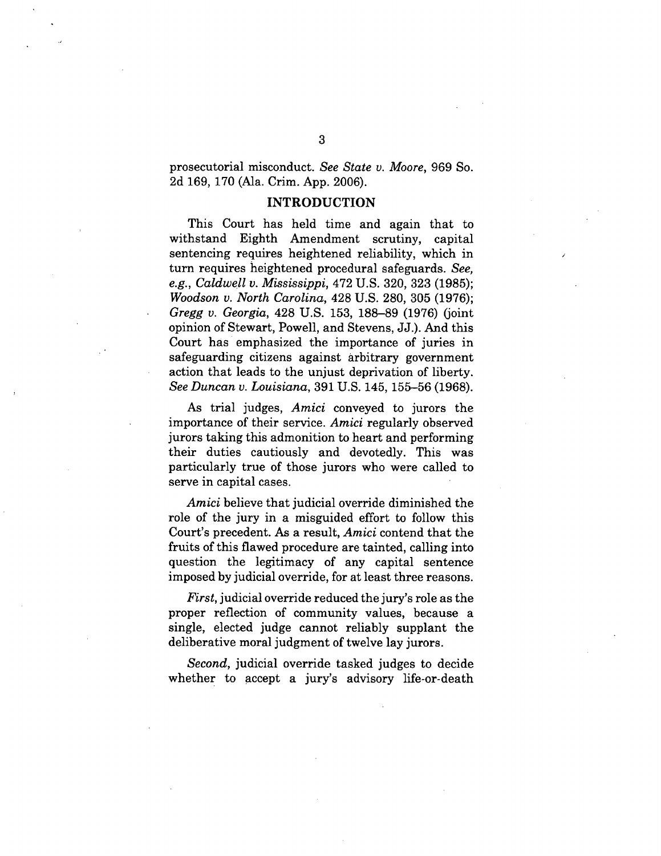prosecutorial misconduct. *See State v. Moore,* 969 So. 2d 169, 170 (Ala. Crim. App. 2006).

#### **INTRODUCTION**

This Court has held time and again that to withstand Eighth Amendment scrutiny, capital sentencing requires heightened reliability, which in turn requires heightened procedural safeguards. *See, e.g., Caldwell v. Mississippi,* 472 U.S. 320, 323 (1985); *Woodson v. North Carolina,* 428 U.S. 280, 305 (1976); *Gregg v. Georgia,* 428 U.S. 153, 188-89 (1976) (joint opinion of Stewart, Powell, and Stevens, JJ.). And this Court has emphasized the importance of juries in safeguarding citizens against arbitrary government action that leads to the unjust deprivation of liberty. *See Duncan v. Louisiana,* 391 U.S. 145, 155-56 (1968).

As trial judges, *Amici* conveyed to jurors the importance of their service. *Amici* regularly observed jurors taking this admonition to heart and performing their duties cautiously and devotedly. This was particularly true of those jurors who were called to serve in capital cases.

*Amici* believe that judicial override diminished the role of the jury in a misguided effort to follow this Court's precedent. As a result, *Amici* contend that the fruits of this flawed procedure are tainted, calling into question the legitimacy of any capital sentence imposed by judicial override, for at least three reasons.

*First,* judicial override reduced the jury's role as the proper reflection of community values, because a single, elected judge cannot reliably supplant the deliberative moral judgment of twelve lay jurors.

*Second,* judicial override tasked judges to decide whether to accept a jury's advisory life-or-death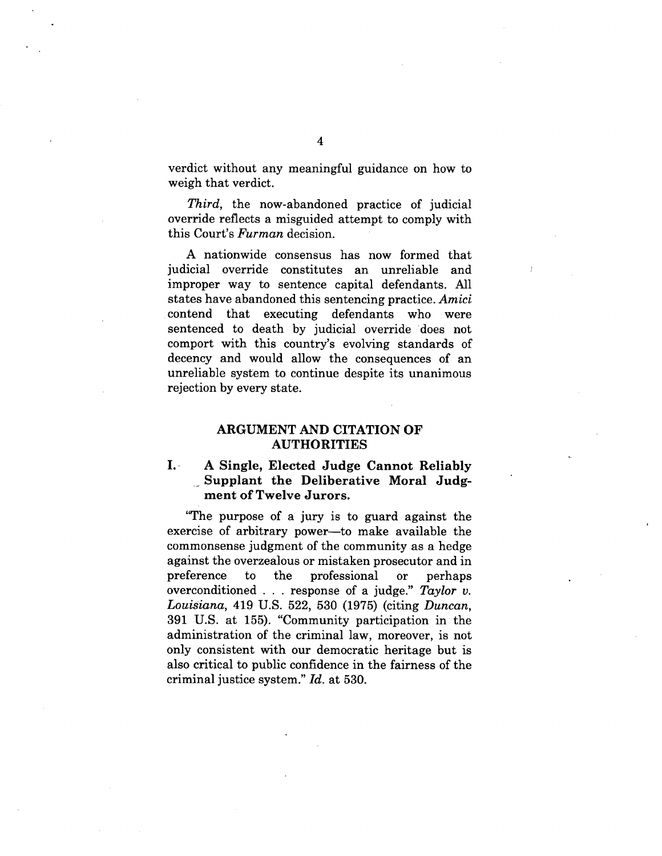verdict without any meaningful guidance on how to weigh that verdict.

*Third,* the now-abandoned practice of judicial override reflects a misguided attempt to comply with this Court's *Furman* decision.

A nationwide consensus has now formed that judicial override constitutes an unreliable and improper way to sentence capital defendants. All states have abandoned this sentencing practice. *Amici*  contend that executing defendants who were sentenced to death by judicial override does not comport with this country's evolving standards of decency and would allow the consequences of an unreliable system to continue despite its unanimous rejection by every state.

### **ARGUMENT AND CITATION OF AUTHORITIES**

### **I. A Single, Elected Judge Cannot Reliably Supplant the Deliberative Moral Judgment of Twelve Jurors.**

"The purpose of a jury is to guard against the exercise of arbitrary power—to make available the commonsense judgment of the community as a hedge against the overzealous or mistaken prosecutor and in preference to the professional or perhaps overconditioned . . . response of a judge." *Taylor v. Louisiana,* 419 U.S. 522, 530 (1975) (citing *Duncan,*  391 U.S. at 155). "Community participation in the administration of the criminal law, moreover, is not only consistent with our democratic heritage but is also critical to public confidence in the fairness of the criminal justice system." *Id.* at 530.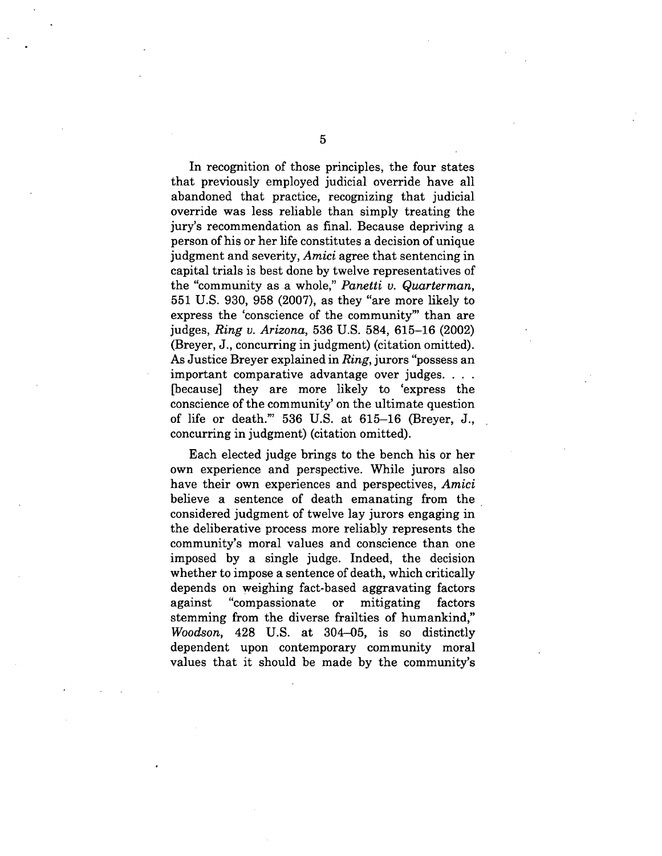In recognition of those principles, the four states that previously employed judicial override have all abandoned that practice, recognizing that judicial override was less reliable than simply treating the jury's recommendation as final. Because depriving a person of his or her life constitutes a decision of unique judgment and severity, *Amici* agree that sentencing in capital trials is best done by twelve representatives of the "community as .a whole," *Panetti v. Quarterman,*  551 U.S. 930, 958 (2007), as they "are more likely to express the 'conscience of the community"' than are judges, *Ring v. Arizona,* 536 U.S. 584, 615-16 (2002) (Breyer, J., concurring in judgment) (citation omitted). As Justice Breyer explained in *Ring,* jurors "possess an important comparative advantage over judges. . . . [because] they are more likely to 'express the conscience of the community' on the ultimate question of life or death."' 536 U.S. at 615-16 (Breyer, J., concurring in judgment) (citation omitted).

Each elected judge brings to the bench his or her own experience and perspective. While jurors also have their own experiences and perspectives, *Amici*  believe a sentence of death emanating from the considered judgment of twelve lay jurors engaging in the deliberative process more reliably represents the community's moral values and conscience than one imposed by a single judge. Indeed, the decision whether to impose a sentence of death, which critically depends on weighing fact-based aggravating factors against "compassionate or mitigating factors stemming from the diverse frailties of humankind," *Woodson,* 428 U.S. at 304-05, is so distinctly dependent upon contemporary community moral values that it should be made by the community's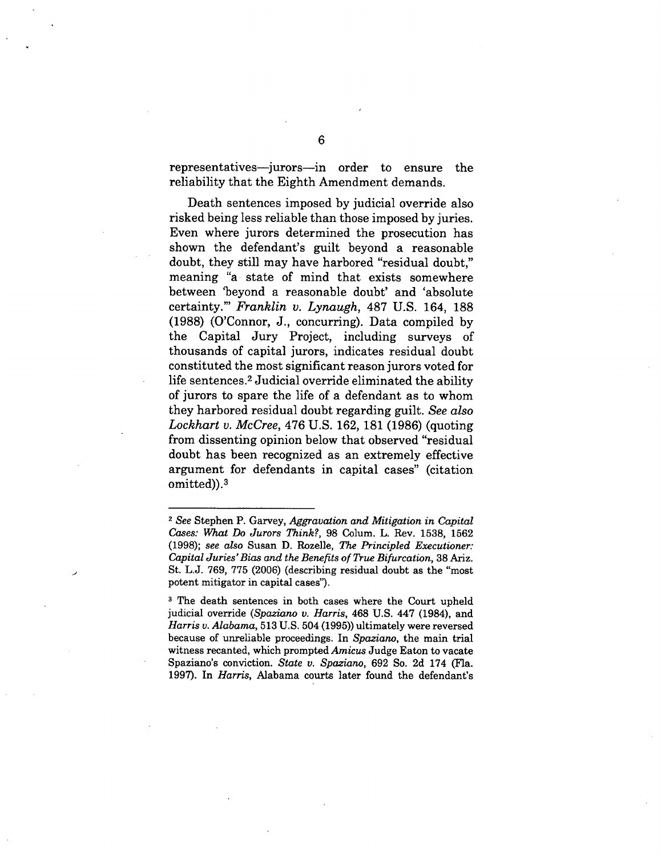representatives—jurors—in order to ensure the reliability that the Eighth Amendment demands.

Death sentences imposed by judicial override also risked being less reliable than those imposed by juries. Even where jurors determined the prosecution has shown the defendant's guilt beyond a reasonable doubt, they still may have harbored "residual doubt," meaning "a state of mind that exists somewhere between 'beyond a reasonable doubt' and 'absolute certainty."' *Franklin v. Lynaugh,* 487 U.S. 164, 188 (1988) (O'Connor, J., concurring). Data compiled by the Capital Jury Project, including surveys of thousands of capital jurors, indicates residual doubt constituted the most significant reason jurors voted for life sentences.<sup>2</sup> Judicial override eliminated the ability of jurors to spare the life of a defendant as to whom they harbored residual doubt regarding guilt. *See also Lockhart v. McCree,* 476 U.S. 162, 181 (1986) (quoting from dissenting opinion below that observed "residual doubt has been recognized as an extremely effective argument for defendants in capital cases" (citation omitted)).3

<sup>2</sup>*See* Stephen P. Garvey, *Aggravation and Mitigation in Capital Cases: What Do Jurors Think?,* 98 Colum. L. Rev. 1538, 1562 (1998); *see also* Susan **D.** Rozelle, *The Principled Executioner: Capital Juries' Bias and the Benefits of True Bifurcation,* 38 Ariz. St. L.J. 769, 775 (2006) (describing residual doubt as the "most potent mitigator in capital cases").

<sup>&</sup>lt;sup>3</sup> The death sentences in both cases where the Court upheld judicial override *(Spaziano v. Harris,* 468 U.S. 447 (1984), and *Harris v. Alabama,* 513 U.S. 504 (1995)) ultimately were reversed because of unreliable proceedings. In *Spaziano,* the main trial witness recanted, which prompted *Amicus* Judge Eaton to vacate Spaziano's conviction. *State v. Spaziano,* 692 So. 2d 174 (Fla. 1997). In *Harris,* Alabama courts later found the defendant's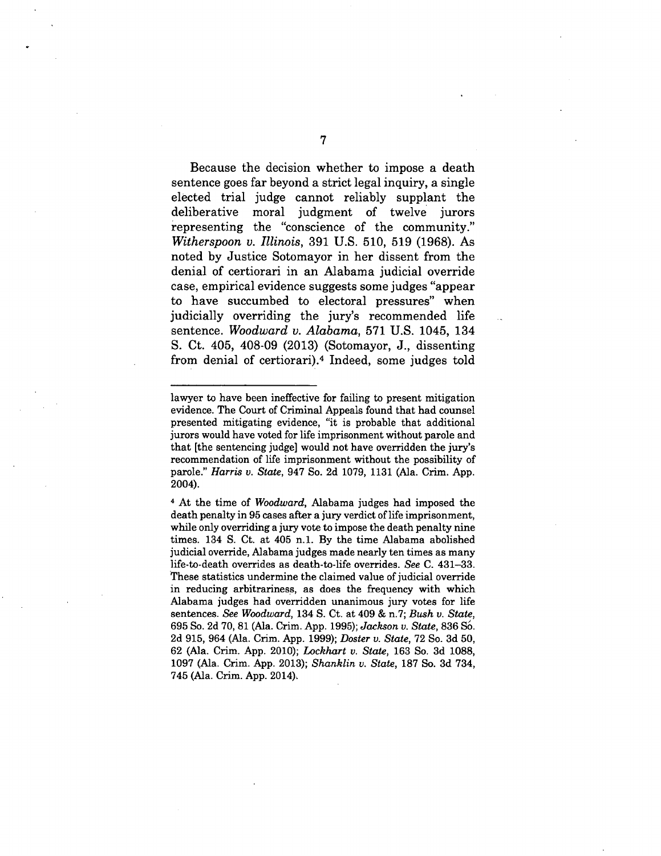Because the decision whether to impose a death sentence goes far beyond a strict legal inquiry, a single elected trial judge cannot reliably supplant the deliberative moral judgment of twelve jurors representing the "conscience of the community." *Witherspoon v. Illinois,* 391 U.S. 510, 519 (1968). As noted by Justice Sotomayor in her dissent from the denial of certiorari in an Alabama judicial override case, empirical evidence suggests some judges "appear to have succumbed to electoral pressures" when judicially overriding the jury's recommended life sentence. *Woodward v. Alabama,* 571 U.S. 1045, 134 S. Ct. 405, 408-09 (2013) (Sotomayor, J., dissenting from denial of certiorari).4Indeed, some judges told

7

lawyer to have been ineffective for failing to present mitigation evidence. The Court of Criminal Appeals found that had counsel presented mitigating evidence, "it is probable that additional jurors would have voted for life imprisonment without parole and that [the sentencing judge] would not have overridden the jury's recommendation of life imprisonment without the possibility of parole." *Harris v. State,* 947 So. 2d 1079, 1131 (Ala. Crim. App. 2004).

**<sup>4</sup>**At the time of *Woodward,* Alabama judges had imposed the death penalty in 95 cases after a jury verdict of life imprisonment, while only overriding a jury vote to impose the death penalty nine times. 134 S. Ct. at 405 n.1. By the time Alabama abolished judicial override, Alabama judges made nearly ten times as many life-to-death overrides as death-to-life overrides. *See* C. 431-33. These statistics undermine the claimed value of judicial override in reducing arbitrariness, as does the frequency with which Alabama judges had overridden unanimous jury votes for life sentences. *See Woodward,* 134 S. Ct. at 409 & *n.7; Bush u. State,*  695 So. 2d 70, 81 (Ala. Crim. App. 1995); *Jackson v. State,* 836 SO. 2d 915, 964 (Ala. Crim. App. 1999); *Doster v. State,* 72 So. 3d 50, 62 (Ala. Crim. App. 2010); *Lockhart v. State,* 163 So. 3d 1088, 1097 (Ala. Crim. App. 2013); *Shanklin v. State,* 187 So. 3d 734, 745 (Ala. Crim. App. 2014).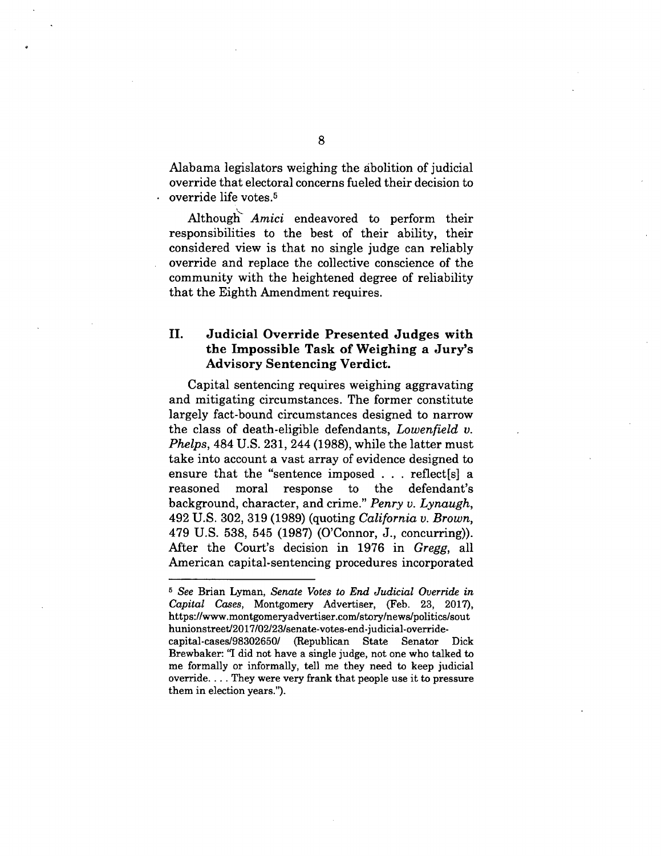Alabama legislators weighing the abolition of judicial override that electoral concerns fueled their decision to override life votes.5

Although' *Amici* endeavored to perform their responsibilities to the best of their ability, their considered view is that no single judge can reliably override and replace the collective conscience of the community with the heightened degree of reliability that the Eighth Amendment requires.

### **II. Judicial Override Presented Judges with the Impossible Task of Weighing a Jury's Advisory Sentencing Verdict.**

Capital sentencing requires weighing aggravating and mitigating circumstances. The former constitute largely fact-bound circumstances designed to narrow the class of death-eligible defendants, *Lowenfield v. Phelps,* 484 U.S. 231, 244 (1988), while the latter must take into account a vast array of evidence designed to ensure that the "sentence imposed . . . reflect[s] a reasoned moral response to the defendant's background, character, and crime." *Penry v. Lynaugh,*  492 U.S. 302, 319 (1989) (quoting *California v. Brown,*  479 U.S. 538, 545 (1987) (O'Connor, **J.,** concurring)). After the Court's decision in 1976 in *Gregg,* all American capital-sentencing procedures incorporated

<sup>6</sup>*See* Brian Lyman, *Senate Votes to End Judicial Override in Capital Cases,* Montgomery Advertiser, (Feb. 23, 2017), https://www.montgomeryadvertiser.com/story/news/politics/sout hunionstreet/2017/02/23/senate-votes-end-judicial-override-

capital-cases/98302650/ (Republican State Senator Dick Brewbaker: "I did not have a single judge, not one who talked to me formally or informally, tell me they need to keep judicial override. .. . They were very frank that people use it to pressure them in election years.").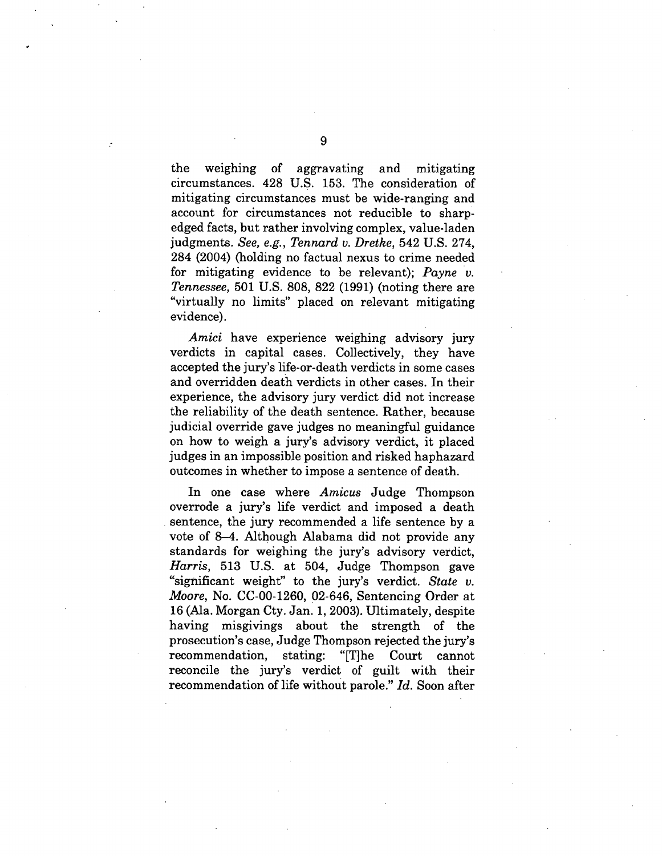the weighing of aggravating and mitigating circumstances. 428 U.S. 153. The consideration of mitigating circumstances must be wide-ranging and account for circumstances not reducible to sharpedged facts, but rather involving complex, value-laden judgments. *See, e.g., Tennard v. Dretke,* 542 U.S. 274, 284 (2004) (holding no factual nexus to crime needed for mitigating evidence to be relevant); *Payne v. Tennessee,* 501 U.S. 808, 822 (1991) (noting there are "virtually no limits" placed on relevant mitigating evidence).

*Amici* have experience weighing advisory jury verdicts in capital cases. Collectively, they have accepted the jury's life-or-death verdicts in some cases and overridden death verdicts in other cases. In their experience, the advisory jury verdict did not increase the reliability of the death sentence. Rather, because judicial override gave judges no meaningful guidance on how to weigh a jury's advisory verdict, it placed judges in an impossible position and risked haphazard outcomes in whether to impose a sentence of death.

In one case where *Amicus* Judge Thompson overrode a jury's life verdict and imposed a death sentence, the jury recommended a life sentence by a vote of 8-4. Although Alabama did not provide any standards for weighing the jury's advisory verdict, *Harris,* 513 U.S. at 504, Judge Thompson gave "significant weight" to the jury's verdict. *State v. Moore,* No. CC-00-1260, 02-646, Sentencing Order at 16 (Ala. Morgan Cty. Jan. 1, 2003). Ultimately, despite having misgivings about the strength of the prosecution's case, Judge Thompson rejected the jury's recommendation, stating: "[T]he Court cannot reconcile the jury's verdict of guilt with their recommendation of life without parole." *Id.* Soon after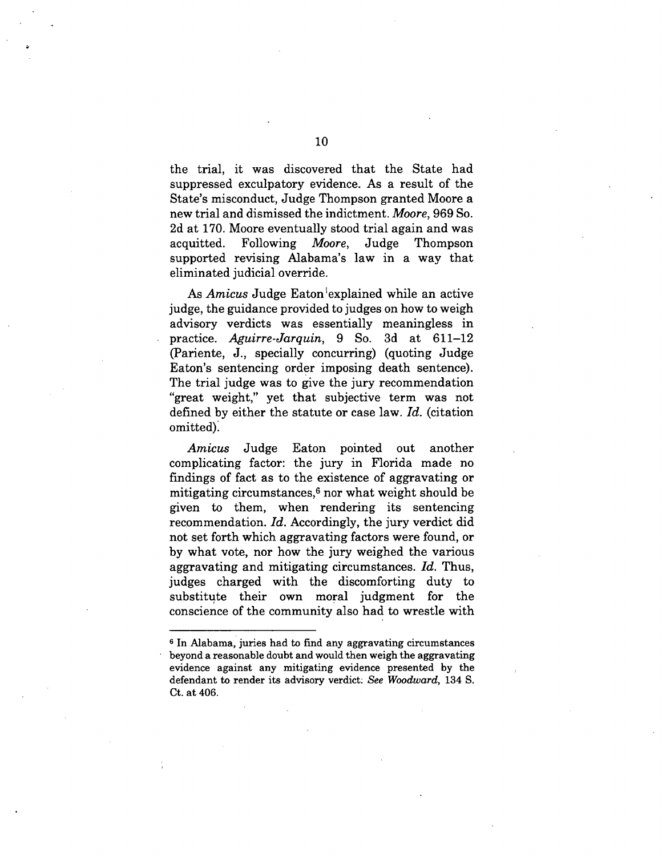the trial, it was discovered that the State had suppressed exculpatory evidence. As a result of the State's misconduct, Judge Thompson granted Moore a new trial and dismissed the indictment. *Moore,* 969 So. 2d at 170. Moore eventually stood trial again and was acquitted. Following *Moore,* Judge Thompson supported revising Alabama's law in a way that eliminated judicial override.

As *Amicus* Judge Eaton 'explained while an active judge, the guidance provided to judges on how to weigh advisory verdicts was essentially meaningless in practice. *Aguirre-Jarquin,* 9 So. 3d at 611-12 (Pariente, J., specially concurring) (quoting Judge Eaton's sentencing order imposing death sentence). The trial judge was to give the jury recommendation "great weight," yet that subjective term was not defined by either the statute or case law. *Id.* (citation omitted).

*Amicus* Judge Eaton pointed out another complicating factor: the jury in Florida made no findings of fact as to the existence of aggravating or mitigating circumstances, $6$  nor what weight should be given to them, when rendering its sentencing recommendation. *Id.* Accordingly, the jury verdict did not set forth which aggravating factors were found, or by what vote, nor how the jury weighed the various aggravating and mitigating circumstances. *Id.* Thus, judges charged with the discomforting duty to substitute their own moral judgment for the conscience of the community also had to wrestle with

<sup>&</sup>lt;sup>6</sup> In Alabama, juries had to find any aggravating circumstances beyond a reasonable doubt and would then weigh the aggravating evidence against any mitigating evidence presented by the defendant to render its advisory verdict. *See Woodward,* 134 S. Ct. at 406.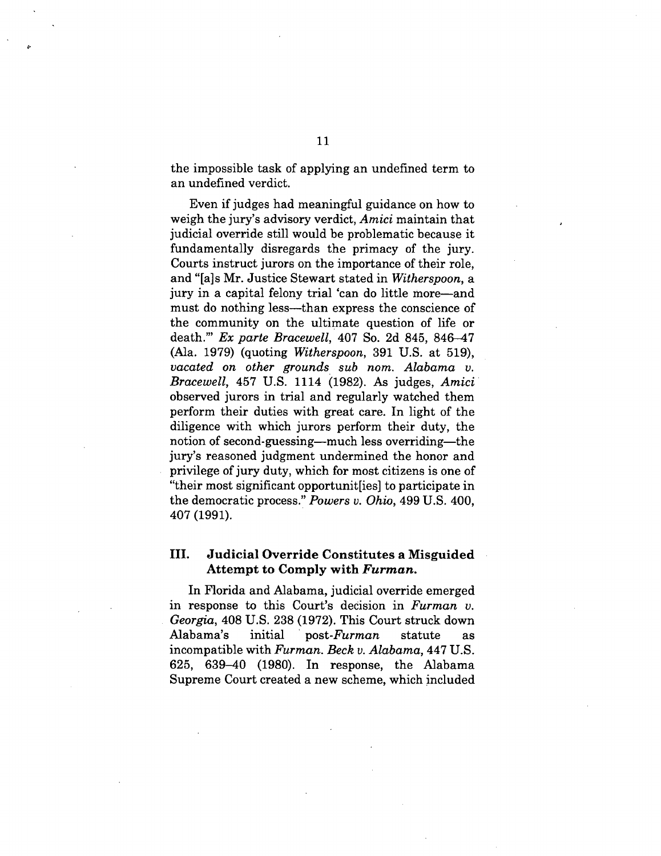the impossible task of applying an undefined term to an undefined verdict.

Even if judges had meaningful guidance on how to weigh the jury's advisory verdict, *Amici* maintain that judicial override still would be problematic because it fundamentally disregards the primacy of the jury. Courts instruct jurors on the importance of their role, and "[a]s Mr. Justice Stewart stated in *Witherspoon,* a jury in a capital felony trial 'can do little more—and must do nothing less—than express the conscience of the community on the ultimate question of life or death."' *Ex parte Bracewell,* 407 So. 2d 845, 846-47 (Ala. 1979) (quoting *Witherspoon,* 391 U.S. at 519), *vacated on other grounds sub nom. Alabama v. Bracewell,* 457 U.S. 1114 (1982). As judges, *Amici*  observed jurors in trial and regularly watched them perform their duties with great care. In light of the diligence with which jurors perform their duty, the notion of second-guessing—much less overriding—the jury's reasoned judgment undermined the honor and privilege of jury duty, which for most citizens is one of "their most significant opportunit[ies] to participate in the democratic process." *Powers v. Ohio,* 499 U.S. 400, 407 (1991).

#### **III. Judicial Override Constitutes a Misguided Attempt to Comply with** *Furman.*

In Florida and Alabama, judicial override emerged in response to this Court's decision in *Furman v. Georgia,* 408 U.S. 238 (1972). This Court struck down Alabama's initial post-Furman statute as incompatible with *Furman. Beck v. Alabama,* 447 U.S. 625, 639-40 (1980). In response, the Alabama Supreme Court created a new scheme, which included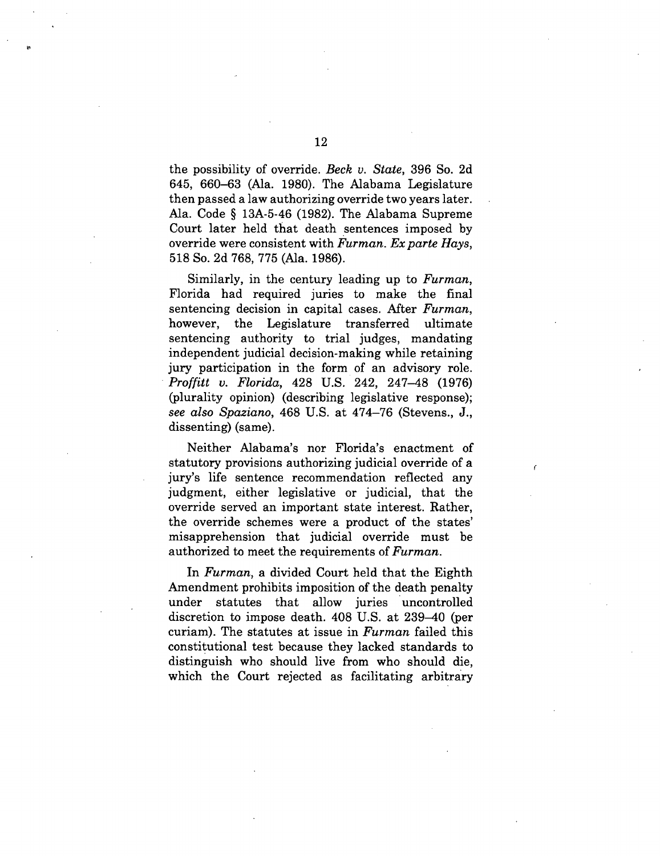the possibility of override. *Beck v. State,* 396 So. 2d 645, 660-63 (Ala. 1980). The Alabama Legislature then passed a law authorizing override two years later. Ala. Code § 13A-5-46 (1982). The Alabama Supreme Court later held that death sentences imposed by override were consistent with *Furman. Ex parte Hays,*  518 So. 2d 768, 775 (Ala. 1986).

Similarly, in the century leading up to *Furman,*  Florida had required juries to make the final sentencing decision in capital cases. After *Furman,*  however, the Legislature transferred ultimate sentencing authority to trial judges, mandating independent judicial decision-making while retaining jury participation in the form of an advisory role. *Proffitt v. Florida,* 428 U.S. 242, 247-48 (1976) (plurality opinion) (describing legislative response); *see also Spaziano,* 468 U.S. at 474-76 (Stevens., J., dissenting) (same).

Neither Alabama's nor Florida's enactment of statutory provisions authorizing judicial override of a jury's life sentence recommendation reflected any judgment, either legislative or judicial, that the override served an important state interest. Rather, the override schemes were a product of the states' misapprehension that judicial override must be authorized to meet the requirements of *Furman.* 

In *Furman,* a divided Court held that the Eighth Amendment prohibits imposition of the death penalty under statutes that allow juries uncontrolled discretion to impose death. 408 U.S. at 239-40 (per curiam). The statutes at issue in *Furman* failed this constitutional test because they lacked standards to distinguish who should live from who should die, which the Court rejected as facilitating arbitrary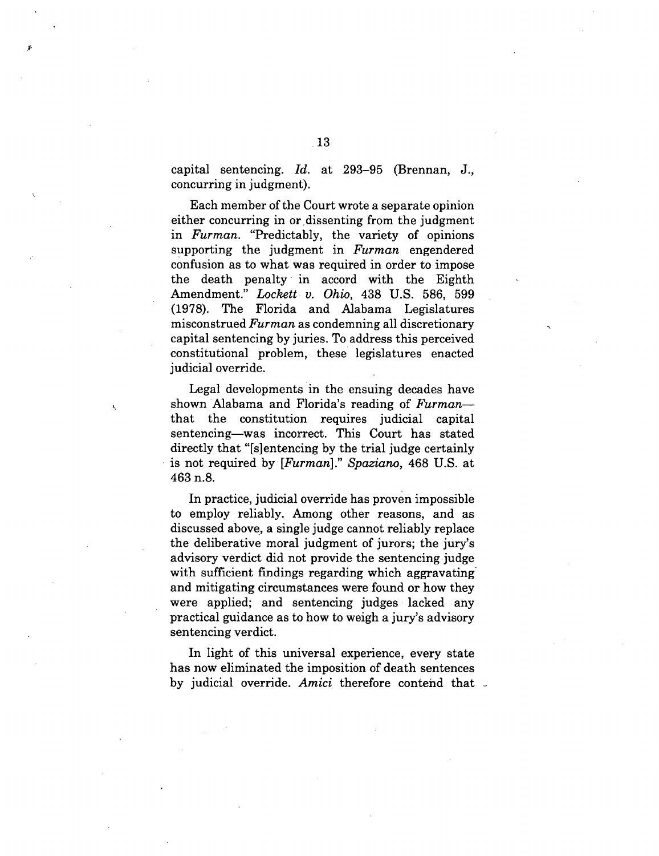capital sentencing. *Id.* at 293-95 (Brennan, J., concurring in judgment).

Each member of the Court wrote a separate opinion either concurring in or dissenting from the judgment in *Furman.* "Predictably, the variety of opinions supporting the judgment in *Furman* engendered confusion as to what was required in order to impose the death penalty in accord with the Eighth Amendment." *Lockett v. Ohio,* 438 U.S. 586, 599 (1978). The Florida and Alabama Legislatures misconstrued *Furman* as condemning all discretionary capital sentencing by juries. To address this perceived constitutional problem, these legislatures enacted judicial override.

Legal developments in the ensuing decades have shown Alabama and Florida's reading of *Furman* that the constitution requires judicial capital sentencing—was incorrect. This Court has stated directly that "[s]entencing by the trial judge certainly is not required by *[Furman]." Spaziano,* 468 U.S. at 463 n.8.

In practice, judicial override has proven impossible to employ reliably. Among other reasons, and as discussed above, a single judge cannot reliably replace the deliberative moral judgment of jurors; the jury's advisory verdict did not provide the sentencing judge with sufficient findings regarding which aggravating and mitigating circumstances were found or how they were applied; and sentencing judges lacked any practical guidance as to how to weigh a jury's advisory sentencing verdict.

In light of this universal experience, every state has now eliminated the imposition of death sentences by judicial override. *Amici* therefore contend that